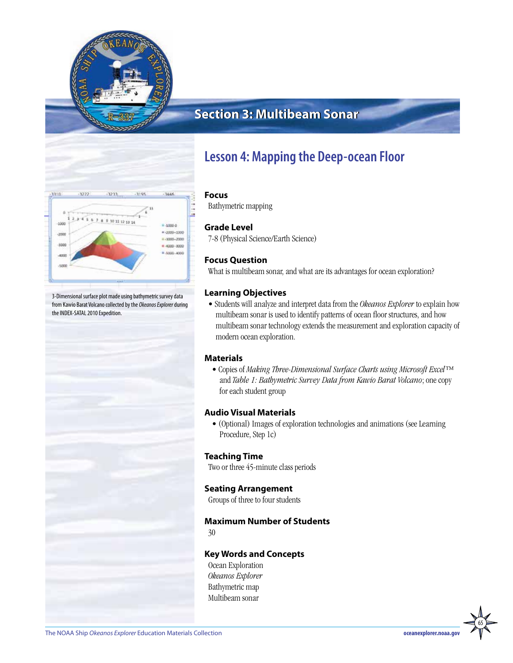

# **Section 3: Multibeam Sonar Section 3: Multibeam Sonar**



3-Dimensional surface plot made using bathymetric survey data from Kawio Barat Volcano collected by the *Okeanos Explorer* during the INDEX-SATAL 2010 Expedition.

# **Lesson 4: Mapping the Deep-ocean Floor**

#### **Focus**

Bathymetric mapping

### **Grade Level**

7-8 (Physical Science/Earth Science)

## **Focus Question**

What is multibeam sonar, and what are its advantages for ocean exploration?

### **Learning Objectives**

• Students will analyze and interpret data from the *Okeanos Explorer* to explain how multibeam sonar is used to identify patterns of ocean floor structures, and how multibeam sonar technology extends the measurement and exploration capacity of modern ocean exploration.

#### **Materials**

• Copies of *Making Three-Dimensional Surface Charts using Microsoft Excel™* and *Table 1: Bathymetric Survey Data from Kawio Barat Volcano*; one copy for each student group

### **Audio Visual Materials**

• (Optional) Images of exploration technologies and animations (see Learning Procedure, Step 1c)

#### **Teaching Time**

Two or three 45-minute class periods

### **Seating Arrangement**

Groups of three to four students

### **Maximum Number of Students**

30

#### **Key Words and Concepts**

Ocean Exploration *Okeanos Explorer* Bathymetric map Multibeam sonar

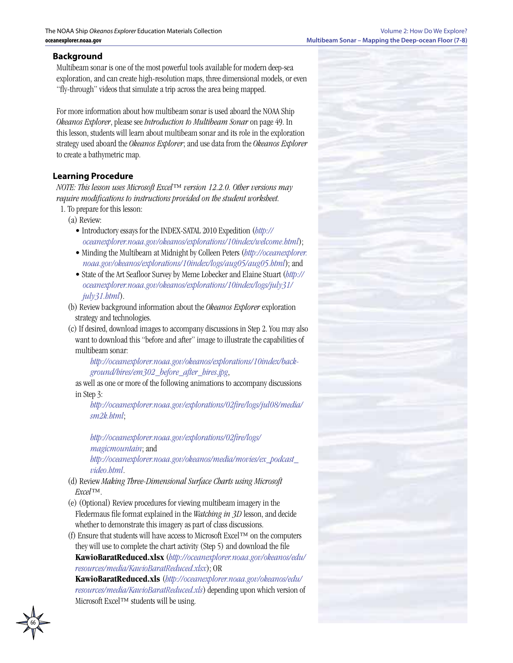#### **Background**

Multibeam sonar is one of the most powerful tools available for modern deep-sea exploration, and can create high-resolution maps, three dimensional models, or even "fly-through" videos that simulate a trip across the area being mapped.

For more information about how multibeam sonar is used aboard the NOAA Ship *Okeanos Explorer*, please see *Introduction to Multibeam Sonar* on page 49. In this lesson, students will learn about multibeam sonar and its role in the exploration strategy used aboard the *Okeanos Explorer*; and use data from the *Okeanos Explorer* to create a bathymetric map.

#### **Learning Procedure**

*NOTE: This lesson uses Microsoft Excel™ version 12.2.0. Other versions may require modifications to instructions provided on the student worksheet.*

- 1. To prepare for this lesson:
	- (a) Review:
		- Introductory essays for the INDEX-SATAL 2010 Expedition (*[http://](http://oceanexplorer.noaa.gov/okeanos/explorations/10index/welcome.html) [oceanexplorer.noaa.gov/okeanos/explorations/10index/welcome.html](http://oceanexplorer.noaa.gov/okeanos/explorations/10index/welcome.html)*);
		- Minding the Multibeam at Midnight by Colleen Peters (*[http://oceanexplorer.](http://oceanexplorer.noaa.gov/okeanos/explorations/10index/logs/aug05/aug05.html) [noaa.gov/okeanos/explorations/10index/logs/aug05/aug05.html](http://oceanexplorer.noaa.gov/okeanos/explorations/10index/logs/aug05/aug05.html)*); and
		- State of the Art Seafloor Survey by Meme Lobecker and Elaine Stuart (*[http://](http://oceanexplorer.noaa.gov/okeanos/explorations/10index/logs/july31/july31.html) [oceanexplorer.noaa.gov/okeanos/explorations/10index/logs/july31/](http://oceanexplorer.noaa.gov/okeanos/explorations/10index/logs/july31/july31.html) [july31.html](http://oceanexplorer.noaa.gov/okeanos/explorations/10index/logs/july31/july31.html)*).
	- (b) Review background information about the *Okeanos Explorer* exploration strategy and technologies.
	- (c) If desired, download images to accompany discussions in Step 2. You may also want to download this "before and after" image to illustrate the capabilities of multibeam sonar:

*[http://oceanexplorer.noaa.gov/okeanos/explorations/10index/back](http://oceanexplorer.noaa.gov/okeanos/explorations/10index/background/hires/em302_before_after_hires.jpg)[ground/hires/em302\\_before\\_after\\_hires.jpg](http://oceanexplorer.noaa.gov/okeanos/explorations/10index/background/hires/em302_before_after_hires.jpg)*,

as well as one or more of the following animations to accompany discussions in Step 3:

*[http://oceanexplorer.noaa.gov/explorations/02fire/logs/jul08/media/](http://oceanexplorer.noaa.gov/explorations/02fire/logs/jul08/media/sm2k.html) [sm2k.html](http://oceanexplorer.noaa.gov/explorations/02fire/logs/jul08/media/sm2k.html)*;

*[http://oceanexplorer.noaa.gov/explorations/02fire/logs/](http://oceanexplorer.noaa.gov/explorations/02fire/logs/magicmountain) [magicmountain](http://oceanexplorer.noaa.gov/explorations/02fire/logs/magicmountain)*; and *[http://oceanexplorer.noaa.gov/okeanos/media/movies/ex\\_podcast\\_](http://oceanexplorer.noaa.gov/okeanos/media/movies/ex_podcast_video.html)*

*[video.html](http://oceanexplorer.noaa.gov/okeanos/media/movies/ex_podcast_video.html)*.

- (d) Review *Making Three-Dimensional Surface Charts using Microsoft Excel™*.
- (e) (Optional) Review procedures for viewing multibeam imagery in the Fledermaus file format explained in the *Watching in 3D* lesson, and decide whether to demonstrate this imagery as part of class discussions.
- (f) Ensure that students will have access to Microsoft Excel™ on the computers they will use to complete the chart activity (Step 5) and download the file **KawioBaratReduced.xlsx** (*[http://oceanexplorer.noaa.gov/okeanos/edu/](http://oceanexplorer.noaa.gov/okeanos/edu/resources/media/KawioBaratReduced.xlsx) [resources/media/KawioBaratReduced.xlsx](http://oceanexplorer.noaa.gov/okeanos/edu/resources/media/KawioBaratReduced.xlsx)*); OR

**KawioBaratReduced.xls** (*[http://oceanexplorer.noaa.gov/okeanos/edu/](http://oceanexplorer.noaa.gov/okeanos/edu/resources/media/KawioBaratReduced.xls) [resources/media/KawioBaratReduced.xls](http://oceanexplorer.noaa.gov/okeanos/edu/resources/media/KawioBaratReduced.xls)*) depending upon which version of Microsoft Excel™ students will be using.

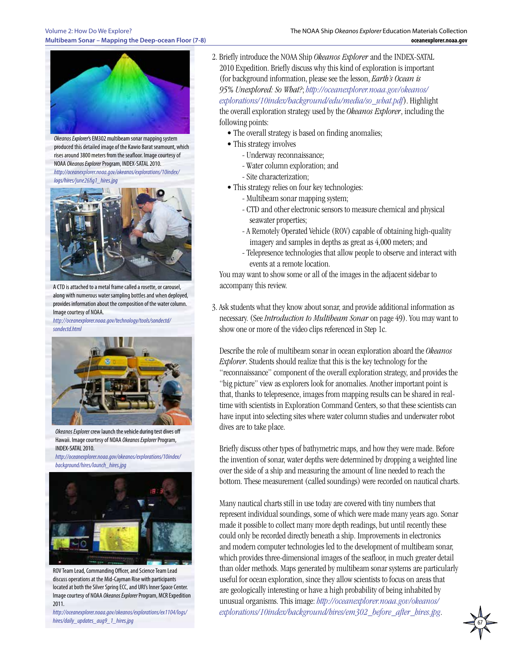#### Volume 2: How Do We Explore? **Multibeam Sonar – Mapping the Deep-ocean Floor (7-8)**



*Okeanos Explorer*'s EM302 multibeam sonar mapping system produced this detailed image of the Kawio Barat seamount, which rises around 3800 meters from the seafloor. Image courtesy of NOAA *Okeanos Explorer* Program, INDEX-SATAL 2010. *[http://oceanexplorer.noaa.gov/okeanos/explorations/10index/](http://oceanexplorer.noaa.gov/okeanos/explorations/10index/logs/hires/june26fig1_hires.jpg)*

*[logs/hires/june26fig1\\_hires.jpg](http://oceanexplorer.noaa.gov/okeanos/explorations/10index/logs/hires/june26fig1_hires.jpg)*



A CTD is attached to a metal frame called a rosette, or carousel, along with numerous water sampling bottles and when deployed, provides information about the composition of the water column. Image courtesy of NOAA.

*[http://oceanexplorer.noaa.gov/technology/tools/sondectd/](http://oceanexplorer.noaa.gov/technology/tools/sondectd/sondectd.html) [sondectd.html](http://oceanexplorer.noaa.gov/technology/tools/sondectd/sondectd.html)*



*Okeanos Explorer* crew launch the vehicle during test dives off Hawaii. Image courtesy of NOAA *Okeanos Explorer* Program, INDEX-SATAL 2010.

*[http://oceanexplorer.noaa.gov/okeanos/explorations/10index/](http://oceanexplorer.noaa.gov/okeanos/explorations/10index/background/hires/launch_hires.jpg) [background/hires/launch\\_hires.jpg](http://oceanexplorer.noaa.gov/okeanos/explorations/10index/background/hires/launch_hires.jpg)*



ROV Team Lead, Commanding Officer, and Science Team Lead discuss operations at the Mid-Cayman Rise with participants located at both the Silver Spring ECC, and URI's Inner Space Center. Image courtesy of NOAA *Okeanos Explorer* Program, MCR Expedition 2011.

*[http://oceanexplorer.noaa.gov/okeanos/explorations/ex1104/logs/](http://oceanexplorer.noaa.gov/okeanos/explorations/ex1104/logs/hires/daily_updates_aug9_1_hires.jpg) [hires/daily\\_updates\\_aug9\\_1\\_hires.jpg](http://oceanexplorer.noaa.gov/okeanos/explorations/ex1104/logs/hires/daily_updates_aug9_1_hires.jpg)*

- 2. Briefly introduce the NOAA Ship *Okeanos Explorer* and the INDEX-SATAL 2010 Expedition. Briefly discuss why this kind of exploration is important (for background information, please see the lesson, *Earth's Ocean is 95% Unexplored: So What?*; *[http://oceanexplorer.noaa.gov/okeanos/](http://oceanexplorer.noaa.gov/okeanos/explorations/10index/background/edu/media/so_what.pdf) [explorations/10index/background/edu/media/so\\_what.pdf](http://oceanexplorer.noaa.gov/okeanos/explorations/10index/background/edu/media/so_what.pdf)*). Highlight the overall exploration strategy used by the *Okeanos Explorer*, including the following points:
	- The overall strategy is based on finding anomalies;
	- This strategy involves
		- Underway reconnaissance;
		- Water column exploration; and
		- Site characterization;
	- This strategy relies on four key technologies:
		- Multibeam sonar mapping system;
		- CTD and other electronic sensors to measure chemical and physical seawater properties;
		- A Remotely Operated Vehicle (ROV) capable of obtaining high-quality imagery and samples in depths as great as 4,000 meters; and
		- Telepresence technologies that allow people to observe and interact with events at a remote location.

You may want to show some or all of the images in the adjacent sidebar to accompany this review.

3. Ask students what they know about sonar, and provide additional information as necessary. (See *Introduction to Multibeam Sonar* on page 49). You may want to show one or more of the video clips referenced in Step 1c.

Describe the role of multibeam sonar in ocean exploration aboard the *Okeanos Explorer*. Students should realize that this is the key technology for the "reconnaissance" component of the overall exploration strategy, and provides the "big picture" view as explorers look for anomalies. Another important point is that, thanks to telepresence, images from mapping results can be shared in realtime with scientists in Exploration Command Centers, so that these scientists can have input into selecting sites where water column studies and underwater robot dives are to take place.

Briefly discuss other types of bathymetric maps, and how they were made. Before the invention of sonar, water depths were determined by dropping a weighted line over the side of a ship and measuring the amount of line needed to reach the bottom. These measurement (called soundings) were recorded on nautical charts.

Many nautical charts still in use today are covered with tiny numbers that represent individual soundings, some of which were made many years ago. Sonar made it possible to collect many more depth readings, but until recently these could only be recorded directly beneath a ship. Improvements in electronics and modern computer technologies led to the development of multibeam sonar, which provides three-dimensional images of the seafloor, in much greater detail than older methods. Maps generated by multibeam sonar systems are particularly useful for ocean exploration, since they allow scientists to focus on areas that are geologically interesting or have a high probability of being inhabited by unusual organisms. This image: *[http://oceanexplorer.noaa.gov/okeanos/](http://oceanexplorer.noaa.gov/okeanos/explorations/10index/background/hires/em302_before_after_hires.jpg) [explorations/10index/background/hires/em302\\_before\\_after\\_hires.jpg](http://oceanexplorer.noaa.gov/okeanos/explorations/10index/background/hires/em302_before_after_hires.jpg)*.

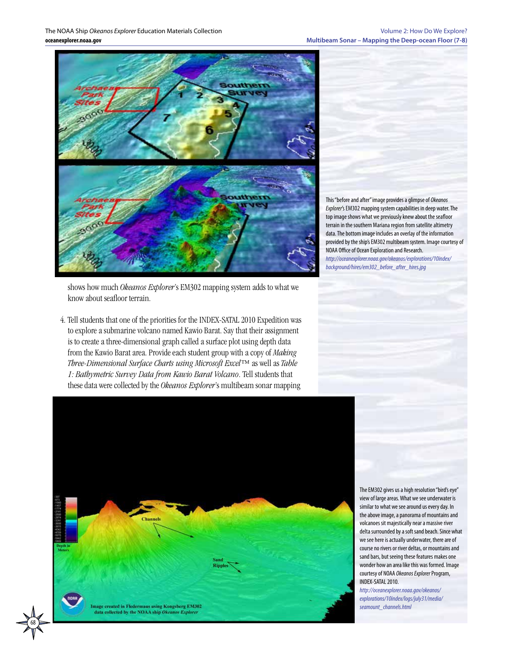The NOAA Ship *Okeanos Explorer* Education Materials Collection **oceanexplorer.noaa.gov**



This "before and after" image provides a glimpse of *Okeanos Explorer*'s EM302 mapping system capabilities in deep water. The top image shows what we previously knew about the seafloor terrain in the southern Mariana region from satellite altimetry data. The bottom image includes an overlay of the information provided by the ship's EM302 multibeam system. Image courtesy of NOAA Office of Ocean Exploration and Research. *[http://oceanexplorer.noaa.gov/okeanos/explorations/10index/](http://oceanexplorer.noaa.gov/okeanos/explorations/10index/background/hires/em302_before_after_hires.jpg) [background/hires/em302\\_before\\_after\\_hires.jpg](http://oceanexplorer.noaa.gov/okeanos/explorations/10index/background/hires/em302_before_after_hires.jpg)*

shows how much *Okeanos Explorer*'s EM302 mapping system adds to what we know about seafloor terrain.

4. Tell students that one of the priorities for the INDEX-SATAL 2010 Expedition was to explore a submarine volcano named Kawio Barat. Say that their assignment is to create a three-dimensional graph called a surface plot using depth data from the Kawio Barat area. Provide each student group with a copy of *Making Three-Dimensional Surface Charts using Microsoft Excel™* as well as *Table 1: Bathymetric Survey Data from Kawio Barat Volcano*. Tell students that these data were collected by the *Okeanos Explorer*'s multibeam sonar mapping



68

The EM302 gives us a high resolution "bird's eye" view of large areas. What we see underwater is similar to what we see around us every day. In the above image, a panorama of mountains and volcanoes sit majestically near a massive river delta surrounded by a soft sand beach. Since what we see here is actually underwater, there are of course no rivers or river deltas, or mountains and sand bars, but seeing these features makes one wonder how an area like this was formed. Image courtesy of NOAA *Okeanos Explorer* Program, INDEX-SATAL 2010.

*[http://oceanexplorer.noaa.gov/okeanos/](http://oceanexplorer.noaa.gov/okeanos/explorations/10index/logs/july31/media/seamount_channels.html) [explorations/10index/logs/july31/media/](http://oceanexplorer.noaa.gov/okeanos/explorations/10index/logs/july31/media/seamount_channels.html) [seamount\\_channels.html](http://oceanexplorer.noaa.gov/okeanos/explorations/10index/logs/july31/media/seamount_channels.html)*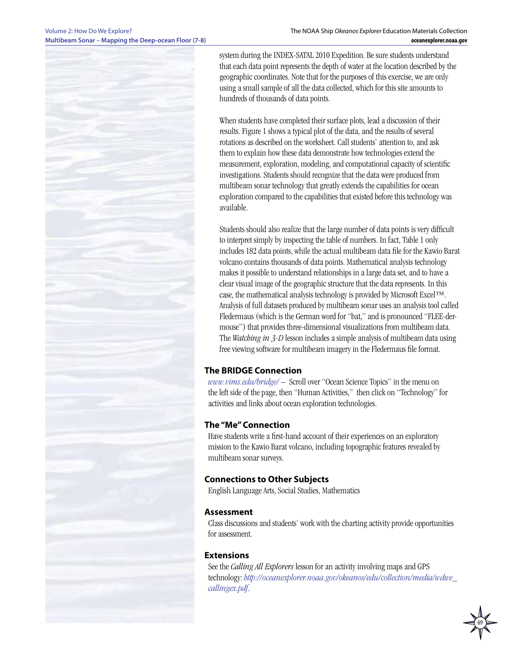

system during the INDEX-SATAL 2010 Expedition. Be sure students understand that each data point represents the depth of water at the location described by the geographic coordinates. Note that for the purposes of this exercise, we are only using a small sample of all the data collected, which for this site amounts to hundreds of thousands of data points.

When students have completed their surface plots, lead a discussion of their results. Figure 1 shows a typical plot of the data, and the results of several rotations as described on the worksheet. Call students' attention to, and ask them to explain how these data demonstrate how technologies extend the measurement, exploration, modeling, and computational capacity of scientific investigations. Students should recognize that the data were produced from multibeam sonar technology that greatly extends the capabilities for ocean exploration compared to the capabilities that existed before this technology was available.

Students should also realize that the large number of data points is very difficult to interpret simply by inspecting the table of numbers. In fact, Table 1 only includes 182 data points, while the actual multibeam data file for the Kawio Barat volcano contains thousands of data points. Mathematical analysis technology makes it possible to understand relationships in a large data set, and to have a clear visual image of the geographic structure that the data represents. In this case, the mathematical analysis technology is provided by Microsoft Excel™. Analysis of full datasets produced by multibeam sonar uses an analysis tool called Fledermaus (which is the German word for "bat," and is pronounced "FLEE-dermouse") that provides three-dimensional visualizations from multibeam data. The *Watching in 3-D* lesson includes a simple analysis of multibeam data using free viewing software for multibeam imagery in the Fledermaus file format.

### **The BRIDGE Connection**

*<www.vims.edu/bridge/>* – Scroll over "Ocean Science Topics" in the menu on the left side of the page, then "Human Activities," then click on "Technology" for activities and links about ocean exploration technologies.

#### **The "Me" Connection**

Have students write a first-hand account of their experiences on an exploratory mission to the Kawio Barat volcano, including topographic features revealed by multibeam sonar surveys.

### **Connections to Other Subjects**

English Language Arts, Social Studies, Mathematics

#### **Assessment**

Class discussions and students' work with the charting activity provide opportunities for assessment.

#### **Extensions**

See the *Calling All Explorers* lesson for an activity involving maps and GPS technology: *[http://oceanexplorer.noaa.gov/okeanos/edu/collection/media/wdwe\\_](http://oceanexplorer.noaa.gov/okeanos/edu/collection/media/wdwe_callingex.pdf) [callingex.pdf](http://oceanexplorer.noaa.gov/okeanos/edu/collection/media/wdwe_callingex.pdf)*.

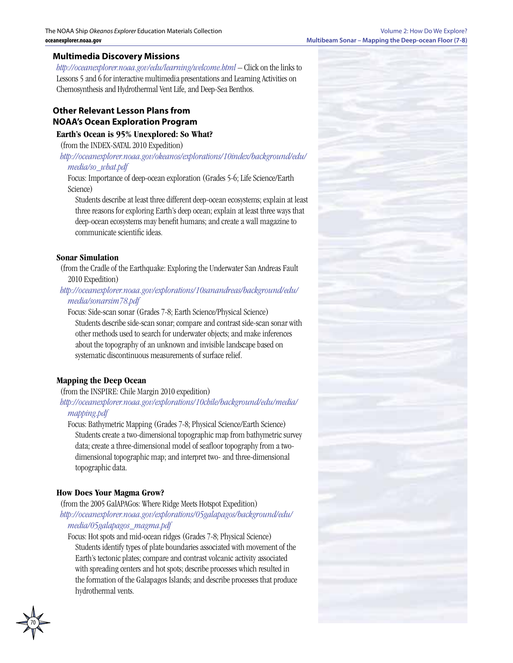#### **Multimedia Discovery Missions**

*<http://oceanexplorer.noaa.gov/edu/learning/welcome.html>* – Click on the links to Lessons 5 and 6 for interactive multimedia presentations and Learning Activities on Chemosynthesis and Hydrothermal Vent Life, and Deep-Sea Benthos.

## **Other Relevant Lesson Plans from NOAA's Ocean Exploration Program**

#### **Earth's Ocean is 95% Unexplored: So What?**

(from the INDEX-SATAL 2010 Expedition)

*[http://oceanexplorer.noaa.gov/okeanos/explorations/10index/background/edu/](http://oceanexplorer.noaa.gov/okeanos/explorations/10index/background/edu/media/so_what.pdf) [media/so\\_what.pdf](http://oceanexplorer.noaa.gov/okeanos/explorations/10index/background/edu/media/so_what.pdf)*

Focus: Importance of deep-ocean exploration (Grades 5-6; Life Science/Earth Science)

Students describe at least three different deep-ocean ecosystems; explain at least three reasons for exploring Earth's deep ocean; explain at least three ways that deep-ocean ecosystems may benefit humans; and create a wall magazine to communicate scientific ideas.

#### **Sonar Simulation**

(from the Cradle of the Earthquake: Exploring the Underwater San Andreas Fault 2010 Expedition)

*[http://oceanexplorer.noaa.gov/explorations/10sanandreas/background/edu/](http://oceanexplorer.noaa.gov/explorations/10sanandreas/background/edu/media/sonarsim78.pdf) [media/sonarsim78.pdf](http://oceanexplorer.noaa.gov/explorations/10sanandreas/background/edu/media/sonarsim78.pdf)*

Focus: Side-scan sonar (Grades 7-8; Earth Science/Physical Science) Students describe side-scan sonar; compare and contrast side-scan sonar with other methods used to search for underwater objects; and make inferences about the topography of an unknown and invisible landscape based on systematic discontinuous measurements of surface relief.

#### **Mapping the Deep Ocean**

(from the INSPIRE: Chile Margin 2010 expedition)

*[http://oceanexplorer.noaa.gov/explorations/10chile/background/edu/media/](http://oceanexplorer.noaa.gov/explorations/10chile/background/edu/media/mapping.pdf) [mapping.pdf](http://oceanexplorer.noaa.gov/explorations/10chile/background/edu/media/mapping.pdf)*

Focus: Bathymetric Mapping (Grades 7-8; Physical Science/Earth Science) Students create a two-dimensional topographic map from bathymetric survey data; create a three-dimensional model of seafloor topography from a twodimensional topographic map; and interpret two- and three-dimensional topographic data.

#### **How Does Your Magma Grow?**

(from the 2005 GalAPAGos: Where Ridge Meets Hotspot Expedition) *[http://oceanexplorer.noaa.gov/explorations/05galapagos/background/edu/](http://oceanexplorer.noaa.gov/explorations/05galapagos/background/edu/media/05galapagos_magma.pdf) [media/05galapagos\\_magma.pdf](http://oceanexplorer.noaa.gov/explorations/05galapagos/background/edu/media/05galapagos_magma.pdf)*

Focus: Hot spots and mid-ocean ridges (Grades 7-8; Physical Science) Students identify types of plate boundaries associated with movement of the Earth's tectonic plates; compare and contrast volcanic activity associated with spreading centers and hot spots; describe processes which resulted in the formation of the Galapagos Islands; and describe processes that produce hydrothermal vents.

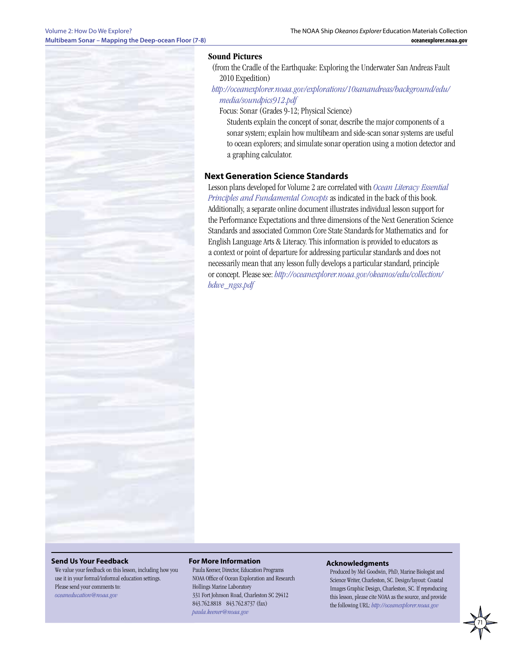#### **Sound Pictures**

(from the Cradle of the Earthquake: Exploring the Underwater San Andreas Fault 2010 Expedition)

*[http://oceanexplorer.noaa.gov/explorations/10sanandreas/background/edu/](http://oceanexplorer.noaa.gov/explorations/10sanandreas/background/edu/media/soundpics912.pdf) [media/soundpics912.pdf](http://oceanexplorer.noaa.gov/explorations/10sanandreas/background/edu/media/soundpics912.pdf)*

Focus: Sonar (Grades 9-12; Physical Science)

Students explain the concept of sonar, describe the major components of a sonar system; explain how multibeam and side-scan sonar systems are useful to ocean explorers; and simulate sonar operation using a motion detector and a graphing calculator.

#### **Next Generation Science Standards**

Lesson plans developed for Volume 2 are correlated with *[Ocean Literacy Essential](http://oceanliteracy.wp2.coexploration.org/brochure/)  [Principles and Fundamental Concepts](http://oceanliteracy.wp2.coexploration.org/brochure/)* as indicated in the back of this book. Additionally, a separate online document illustrates individual lesson support for the Performance Expectations and three dimensions of the Next Generation Science Standards and associated Common Core State Standards for Mathematics and for English Language Arts & Literacy. This information is provided to educators as a context or point of departure for addressing particular standards and does not necessarily mean that any lesson fully develops a particular standard, principle or concept. Please see: *http://oceanexplorer.noaa.gov/okeanos/edu/collection/ hdwe\_ngss.pdf*

#### **Send Us Your Feedback**

We value your feedback on this lesson, including how you use it in your formal/informal education settings. Please send your comments to: *[oceaneducation@noaa.gov](mailto:oceaneducation%40noaa.gov?subject=)*

#### **For More Information**

Paula Keener, Director, Education Programs NOAA Office of Ocean Exploration and Research Hollings Marine Laboratory 331 Fort Johnson Road, Charleston SC 29412 843.762.8818 843.762.8737 (fax) *[paula.keener@noaa.gov](mailto:paula.keener-chavis%40noaa.gov?subject=For%20More%20Information)*

#### **Acknowledgments**

Produced by Mel Goodwin, PhD, Marine Biologist and Science Writer, Charleston, SC. Design/layout: Coastal Images Graphic Design, Charleston, SC. If reproducing this lesson, please cite NOAA as the source, and provide the following URL: *[http://oceanexplorer.noaa.gov]( http://oceanexplorer.noaa.gov)*

71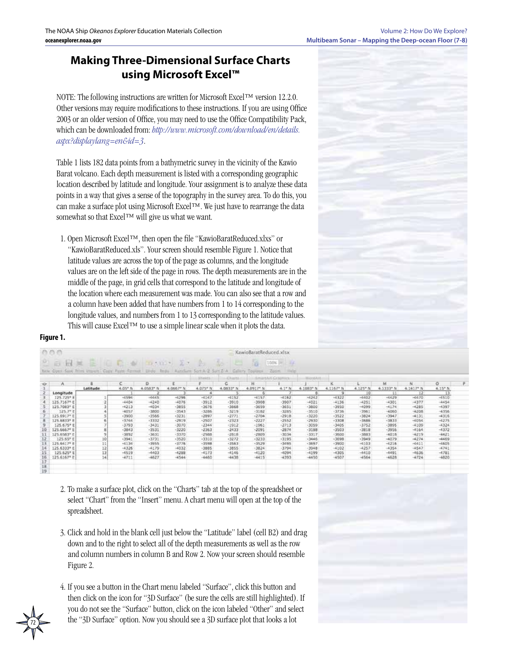# **Making Three-Dimensional Surface Charts using Microsoft Excel™**

NOTE: The following instructions are written for Microsoft Excel™ version 12.2.0. Other versions may require modifications to these instructions. If you are using Office 2003 or an older version of Office, you may need to use the Office Compatibility Pack, which can be downloaded from: *[http://www.microsoft.com/download/en/details.](http://www.microsoft.com/download/en/details.aspx?displaylang=en&id=3) [aspx?displaylang=en&id=3](http://www.microsoft.com/download/en/details.aspx?displaylang=en&id=3)*.

Table 1 lists 182 data points from a bathymetric survey in the vicinity of the Kawio Barat volcano. Each depth measurement is listed with a corresponding geographic location described by latitude and longitude. Your assignment is to analyze these data points in a way that gives a sense of the topography in the survey area. To do this, you can make a surface plot using Microsoft Excel™. We just have to rearrange the data somewhat so that Excel™ will give us what we want.

1. Open Microsoft Excel™, then open the file "KawioBaratReduced.xlxs" or "KawioBaratReduced.xls". Your screen should resemble Figure 1. Notice that latitude values are across the top of the page as columns, and the longitude values are on the left side of the page in rows. The depth measurements are in the middle of the page, in grid cells that correspond to the latitude and longitude of the location where each measurement was made. You can also see that a row and a column have been added that have numbers from 1 to 14 corresponding to the longitude values, and numbers from 1 to 13 corresponding to the latitude values. This will cause Excel™ to use a simple linear scale when it plots the data.



#### **Figure 1.**

|                         |          |                       |           |           | <b>Stimets</b> | ditatta      |           |          |           |           |                      |           |           |                  |
|-------------------------|----------|-----------------------|-----------|-----------|----------------|--------------|-----------|----------|-----------|-----------|----------------------|-----------|-----------|------------------|
| A                       |          | $\epsilon$            | D         |           |                | c            | Ħ         |          |           | ĸ         |                      | M.        | N.        | $^{\circ}$       |
|                         | Latitude | $4.05$ <sup>*</sup> N | 4.0583* N | 4.0667° N | 4.075* N       | 4.0533* N    | 4.0917* N | 4.1" N.  | 4.1083* N | 4.1167* N | 4.125 <sup>*</sup> N | 4:1333° N | 4.1617* N | $6.15^{\circ}$ N |
| Longitude               |          |                       |           |           |                |              |           |          |           | я         | $10-$                |           | 12        |                  |
| 125, 725* 8             |          | $-6596$               | 14645     | $-0.296$  | $+4147$        | $-4152$      | $+4157$   | $-6182$  | 46242     | $+6332$   | $-4402$              | $+6629$   | $-6670$   | $-6510$          |
| 125.7167 <sup>e</sup> E |          | $-4404$               | $-4240$   | $-4076$   | $-3912$        | $-3910$      | $-3908$   | $-3907$  | $-4021$   | $-4136$   | $-4251$              | $-4301$   | $-4377$   | $-4454$          |
| 125.7083 <sup>*</sup> E |          | $-4212$               | $-4034$   | $-3055$   | $-3676$        | $-3668$      | $-3659$   | $-3653$  | $-3800$   | $-3950$   | $-4099$              | $-4174$   | $-4285$   | $-4397$          |
| 125.7° E                |          | $-4057$               | $-3800$   | $+3543$   | $-3286$        | $-3219$      | $-3182$   | $-3285$  | $-3510$   | $-3736$   | $-3961$              | $-4060$   | $-4208$   | $-4356$          |
| 125.6917° E             |          | $-3900$               | $-3566$   | $+3231$   | $-2897$        | $-2771$      | $-2704$   | $-2918$  | $-3220$   | $-3522$   | $-3824$              | $-3947$   | $-4131$   | $-4316$          |
| 125.6833* ±             |          | $-3766$               | $+3332$   | $-2919$   | $-2507$        | $-2323$      | $-2227$   | $-2552$  | $-2930$   | $+3308$   | $-1686$              | $-3833$   | $+6054$   | $+6275$          |
| 125.675° E              |          | $-3793$               | $-3431$   | $-3070$   | $-2344$        | $-1912$      | $-1961$   | $-2713$  | $-3059$   | $-3405$   | $-3752$              | $-3095$   | $-4109$   | $-4324$          |
| 125.6667* E             |          | $-3843$               | $-3531$   | $-3220$   | $-2363$        | $-2433$      | $-2091$   | $-2874$  | $-3188$   | $-3503$   | $-3818$              | $-3956$   | $-4164$   | $-4372$          |
| 125.6583° E             |          | -3892                 | $-3631$   | $-3370$   | $-2988$        | $-2818$      | $-2809.$  | $-30.54$ | $-3317$   | $-3500$   | $-3883$              | $-4018$   | $-6219$   | $-6621$          |
| 125.65° E               |          | $-3941$               | $-3731$   | $-3520$   | $-3310$        | $-3272$      | $-3233$   | $-3195$  | $-3446$   | $-3698$   | $-3949$              | $+4079$   | $+4274$   | $-4469$          |
| 125.6417* #             |          | $-6138$               | $-1955$   | $-3776.$  | $-3598$        | <b>EBZE-</b> | $-3529$   | $-3495$  | $-3697$   | $+3900$   | $+4103$              | $+4218$   | H6411     | $-6605$          |
| 125.6333* E             |          | $-4326$               | $-4179$   | $+4032$   | $-3885$        | $-3855$      | $-3824$   | -3794    | $-3948$   | $-4102$   | $-4257$              | $+4354$   | $-4547$   | $-4741$          |
| 125.625*1               |          | $-4519$               | $-4403$   | $-4288$   | $-4173$        | $-4146$      | $-4120$   | $-4094$  | $-4199$   | $-4305$   | $-4410$              | $-4491$   | $-4636$   | $-4781$          |
| 125.6167* E             |          | $-4711$               | 4627      | $-4544$   | 4460           | 8844         | $-4415$   | 2224     | $-4450$   | $-4507$   | $-4564$              | $-4628$   | $-4724$   | $-4820$          |

- 2. To make a surface plot, click on the "Charts" tab at the top of the spreadsheet or select "Chart" from the "Insert" menu. A chart menu will open at the top of the spreadsheet.
- 3. Click and hold in the blank cell just below the "Latitude" label (cell B2) and drag down and to the right to select all of the depth measurements as well as the row and column numbers in column B and Row 2. Now your screen should resemble Figure 2.
- 4. If you see a button in the Chart menu labeled "Surface", click this button and then click on the icon for "3D Surface" (be sure the cells are still highlighted). If you do not see the "Surface" button, click on the icon labeled "Other" and select the "3D Surface" option. Now you should see a 3D surface plot that looks a lot

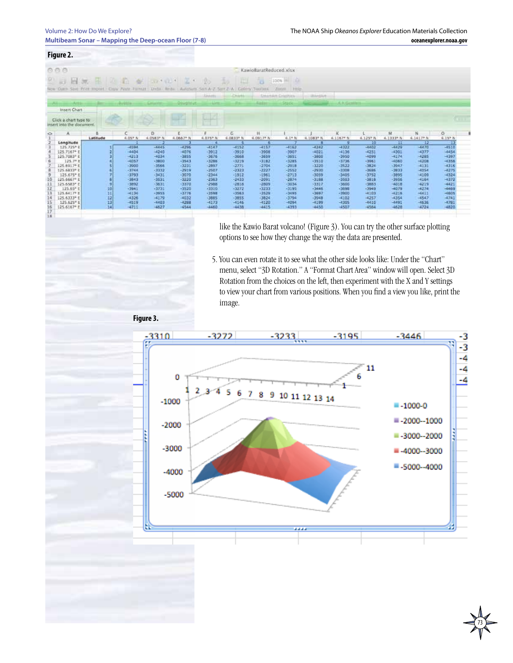|                 | Figure 2.                                                          |                                                                                                   |                    |                    |                       |                    |                    |                        |                                                         |                    |                    |                    |                    |                     |                       |  |
|-----------------|--------------------------------------------------------------------|---------------------------------------------------------------------------------------------------|--------------------|--------------------|-----------------------|--------------------|--------------------|------------------------|---------------------------------------------------------|--------------------|--------------------|--------------------|--------------------|---------------------|-----------------------|--|
|                 | 0.0.0                                                              |                                                                                                   |                    |                    |                       |                    |                    | KawioBaratReduced.xlsx |                                                         |                    |                    |                    |                    |                     |                       |  |
|                 | $H \gg 1$<br>LES.                                                  | 12 四、病<br>New Old Said Print Import - Closy Pasty Format - Unda - Roda - AutoSum Sect A-2, Sect 2 | <b>AV</b>          |                    | Last site is a really |                    | Catlery            | ч<br>Telefistis        | 비리<br>100%<br>Hills<br>Zoomald<br><b>GHARAR CHIRITY</b> | <b>USAARRAK</b>    |                    |                    |                    |                     |                       |  |
|                 |                                                                    |                                                                                                   |                    |                    | تصادنا                |                    |                    |                        |                                                         |                    | K. N. Girabbe      |                    |                    |                     |                       |  |
|                 | Insert Chart<br>Click a chart type to<br>insert into the document. |                                                                                                   |                    |                    |                       |                    |                    |                        |                                                         |                    |                    |                    |                    |                     | $\sim$                |  |
| $\circ$         |                                                                    | Latitude                                                                                          | 4.05° N            | D.<br>4.OSH3* N    | 4.0667* N             | 4.075° N           | G<br>6.0833* N     | Ħ<br>4.0917* N         | $4.1$ * N                                               | 4.1083* N          | $4.1167$ N         | 4.1237 N           | м<br>4.1333* N     | N<br>4.1617* N      | $^{\circ}$<br>4.15* N |  |
|                 | Longitude                                                          |                                                                                                   |                    |                    |                       |                    |                    |                        |                                                         |                    |                    | 10                 |                    | 12                  |                       |  |
|                 | 125.725* 8                                                         |                                                                                                   | $-4594$            | $-6445$            | $-4296$               | $-4147$            | $-1152$            | $-4157$                | $-4162$                                                 | $-4242$            | $-4322$            | $-4402$            | $-6679$            | $-4470$             | $-4510$               |  |
|                 | 125.7167* E                                                        |                                                                                                   | $-4404$            | $-4240$            | $-4576$               | $-3912$            | $-3910$            | $-3908$                | $-3507$                                                 | $-4021$            | $-4136$            | $-4251$            | $-4301$            | $-4377$             | $-4454$               |  |
|                 | 125.7083* E                                                        |                                                                                                   | $-4213$            | $-6034$            | $-2855$               | $-3676$            | $-3668$            | $-3659$                | $-3651$                                                 | $-3800$            | $-3950$            | $-1099$            | $-4174$            | $-4285$             | $-4397$               |  |
|                 | 125.79 8<br>125.6917* E                                            |                                                                                                   | $-0057$<br>$-3900$ | -3800<br>-3566     | $-3543$<br>$-3231$    | $-3286$<br>$-2897$ | $-3219$<br>$-2271$ | $-3182$<br>$-2704$     | $-3285$<br>$-2918$                                      | $-3510$<br>$-3220$ | $-3736$<br>$-3522$ | $-1961$<br>$-3824$ | $+4060$<br>-3947   | $-6208$<br>$-4131$  | $-4356$<br>$-4316$    |  |
|                 | 125.683391                                                         |                                                                                                   | $-3744$            | $-3332$            | $-2919$               | -2507              | $-2322$            | $-2227$                | $-2552$                                                 | $-2930$            | $-3300$            | $-1696$            | $-3033$            | $-0054$             | $-4275$               |  |
|                 | 125.675° E                                                         |                                                                                                   | $-3793$            | $-3431$            | $-3070$               | -2344              | $-1912$            | $-1961$                | $-2713$                                                 | -3059              | $-3405$            | $-3752$            | $-3095$            | 4100                | $-4324$               |  |
|                 | 125.6667* E                                                        |                                                                                                   | $-3843$            | $-3531$            | $-2220$               | $-2362$            | $-2633$            | $-2091$                | $-2876$                                                 | $-3188$            | $-3503$            | $-3916$            | $-3956$            | $-4164$             | $-1372$               |  |
|                 | 125.6583° E                                                        |                                                                                                   | $-3892$            | $-3631$            | $-3370$               | $-2988$            | $-2818$            | $-2809$                | $-3034$                                                 | $-3317$            | $-3600$            | $-3883$            | $-4018$            | $-6219$             | $-6421$               |  |
| 12              | 125.65° E                                                          | 10                                                                                                | $-3941$            | $-3731$            | $-3520$               | $+3310$            | $-3272$            | $-3233$                | $-3195$                                                 | $-3446$            | $-3698$            | $-3949$            | $-4079$            | $-4274$             | $-4409$               |  |
|                 | 125.6417*1                                                         | 71                                                                                                | $+4136$            | -3955              | $-3778$               | $-3598$            | $-3563$            | $-3529$                | $-3495$                                                 | $-3697$            | $-3900$            | 14103              | $+6216$            | 16611               | $-6605$               |  |
| īš              | 125.6333* E                                                        | 12<br>12                                                                                          | $-4326$            | $-4179$<br>$-6403$ | $-4032$               | -3885<br>$-4173$   | $-3855$            | $-3824$<br>$-4120$     | $-3794$<br>$-6094$                                      | $-3948$<br>$-4199$ | $-4102$<br>$-4305$ | $-4257$            | $-4354$<br>$-4491$ | $-4547$             | $-4741$<br>$-4781$    |  |
|                 | 125.625° E<br>125.6167* E                                          | 14                                                                                                | $-4519$<br>$-4711$ | $-4627$            | $-4288$<br>$-4544$    | $-4460$            | $-4146$<br>$-4438$ | (4415)                 | 12933                                                   | $-4450$            | $-4507$            | $-4410$<br>$-4564$ | $-4628$            | $-46.26$<br>$-4724$ | $-4820$               |  |
| $\frac{16}{17}$ |                                                                    |                                                                                                   |                    |                    |                       |                    |                    |                        |                                                         |                    |                    |                    |                    |                     |                       |  |

like the Kawio Barat volcano! (Figure 3). You can try the other surface plotting options to see how they change the way the data are presented.

5. You can even rotate it to see what the other side looks like: Under the "Chart" menu, select "3D Rotation." A "Format Chart Area" window will open. Select 3D Rotation from the choices on the left, then experiment with the X and Y settings to view your chart from various positions. When you find a view you like, print the image.

**Figure 3.**

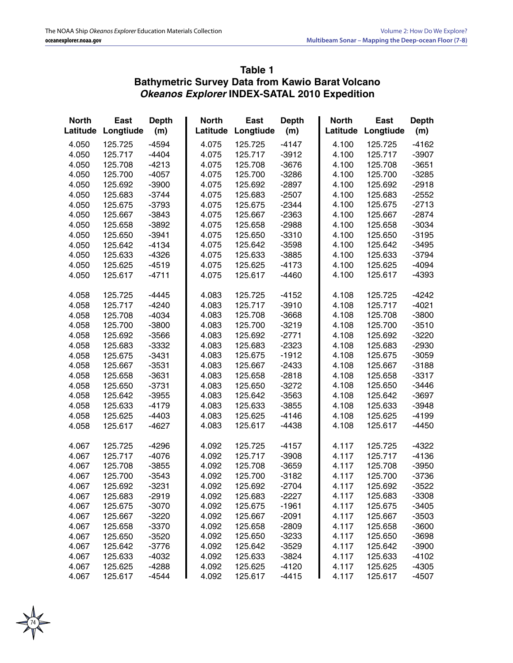## **Table 1 Bathymetric Survey Data from Kawio Barat Volcano** *Okeanos Explorer* **INDEX-SATAL 2010 Expedition**

| <b>North</b><br>Latitude | <b>East</b><br>Longtiude | <b>Depth</b><br>(m) | <b>North</b><br>Latitude | <b>East</b><br>Longtiude | <b>Depth</b><br>(m) | <b>North</b><br>Latitude | <b>East</b><br>Longtiude | <b>Depth</b><br>(m) |
|--------------------------|--------------------------|---------------------|--------------------------|--------------------------|---------------------|--------------------------|--------------------------|---------------------|
| 4.050                    | 125.725                  | $-4594$             | 4.075                    | 125.725                  | $-4147$             | 4.100                    | 125.725                  | $-4162$             |
| 4.050                    | 125.717                  | $-4404$             | 4.075                    | 125.717                  | $-3912$             | 4.100                    | 125.717                  | $-3907$             |
| 4.050                    | 125.708                  | $-4213$             | 4.075                    | 125.708                  | $-3676$             | 4.100                    | 125.708                  | $-3651$             |
| 4.050                    | 125.700                  | $-4057$             | 4.075                    | 125.700                  | $-3286$             | 4.100                    | 125.700                  | $-3285$             |
| 4.050                    | 125.692                  | $-3900$             | 4.075                    | 125.692                  | $-2897$             | 4.100                    | 125.692                  | $-2918$             |
| 4.050                    | 125.683                  | $-3744$             | 4.075                    | 125.683                  | $-2507$             | 4.100                    | 125.683                  | $-2552$             |
| 4.050                    | 125.675                  | $-3793$             | 4.075                    | 125.675                  | $-2344$             | 4.100                    | 125.675                  | $-2713$             |
| 4.050                    | 125.667                  | $-3843$             | 4.075                    | 125.667                  | $-2363$             | 4.100                    | 125.667                  | $-2874$             |
| 4.050                    | 125.658                  | $-3892$             | 4.075                    | 125.658                  | $-2988$             | 4.100                    | 125.658                  | $-3034$             |
| 4.050                    | 125.650                  | $-3941$             | 4.075                    | 125.650                  | $-3310$             | 4.100                    | 125.650                  | $-3195$             |
| 4.050                    | 125.642                  | $-4134$             | 4.075                    | 125.642                  | $-3598$             | 4.100                    | 125.642                  | $-3495$             |
| 4.050                    | 125.633                  | $-4326$             | 4.075                    | 125.633                  | $-3885$             | 4.100                    | 125.633                  | $-3794$             |
| 4.050                    | 125.625                  | $-4519$             | 4.075                    | 125.625                  | $-4173$             | 4.100                    | 125.625                  | $-4094$             |
| 4.050                    | 125.617                  | $-4711$             | 4.075                    | 125.617                  | $-4460$             | 4.100                    | 125.617                  | $-4393$             |
| 4.058                    | 125.725                  | $-4445$             | 4.083                    | 125.725                  | $-4152$             | 4.108                    | 125.725                  | $-4242$             |
| 4.058                    | 125.717                  | $-4240$             | 4.083                    | 125.717                  | $-3910$             | 4.108                    | 125.717                  | $-4021$             |
| 4.058                    | 125.708                  | $-4034$             | 4.083                    | 125.708                  | $-3668$             | 4.108                    | 125.708                  | $-3800$             |
| 4.058                    | 125.700                  | $-3800$             | 4.083                    | 125.700                  | $-3219$             | 4.108                    | 125.700                  | $-3510$             |
| 4.058                    | 125.692                  | $-3566$             | 4.083                    | 125.692                  | $-2771$             | 4.108                    | 125.692                  | $-3220$             |
| 4.058                    | 125.683                  | $-3332$             | 4.083                    | 125.683                  | $-2323$             | 4.108                    | 125.683                  | $-2930$             |
| 4.058                    | 125.675                  | $-3431$             | 4.083                    | 125.675                  | $-1912$             | 4.108                    | 125.675                  | $-3059$             |
| 4.058                    | 125.667                  | $-3531$             | 4.083                    | 125.667                  | $-2433$             | 4.108                    | 125.667                  | $-3188$             |
| 4.058                    | 125.658                  | $-3631$             | 4.083                    | 125.658                  | $-2818$             | 4.108                    | 125.658                  | $-3317$             |
| 4.058                    | 125.650                  | $-3731$             | 4.083                    | 125.650                  | $-3272$             | 4.108                    | 125.650                  | $-3446$             |
| 4.058                    | 125.642                  | $-3955$             | 4.083                    | 125.642                  | $-3563$             | 4.108                    | 125.642                  | $-3697$             |
| 4.058                    | 125.633                  | $-4179$             | 4.083                    | 125.633                  | $-3855$             | 4.108                    | 125.633                  | $-3948$             |
| 4.058                    | 125.625                  | $-4403$             | 4.083                    | 125.625                  | $-4146$             | 4.108                    | 125.625                  | $-4199$             |
| 4.058                    | 125.617                  | $-4627$             | 4.083                    | 125.617                  | $-4438$             | 4.108                    | 125.617                  | $-4450$             |
| 4.067                    | 125.725                  | $-4296$             | 4.092                    | 125.725                  | $-4157$             | 4.117                    | 125.725                  | $-4322$             |
| 4.067                    | 125.717                  | $-4076$             | 4.092                    | 125.717                  | $-3908$             | 4.117                    | 125.717                  | $-4136$             |
| 4.067                    | 125.708                  | $-3855$             | 4.092                    | 125.708                  | $-3659$             | 4.117                    | 125.708                  | $-3950$             |
| 4.067                    | 125.700                  | $-3543$             | 4.092                    | 125.700                  | $-3182$             | 4.117                    | 125.700                  | $-3736$             |
| 4.067                    | 125.692                  | $-3231$             | 4.092                    | 125.692                  | $-2704$             | 4.117                    | 125.692                  | $-3522$             |
| 4.067                    | 125.683                  | $-2919$             | 4.092                    | 125.683                  | $-2227$             | 4.117                    | 125.683                  | $-3308$             |
| 4.067                    | 125.675                  | $-3070$             | 4.092                    | 125.675                  | $-1961$             | 4.117                    | 125.675                  | $-3405$             |
| 4.067                    | 125.667                  | $-3220$             | 4.092                    | 125.667                  | $-2091$             | 4.117                    | 125.667                  | $-3503$             |
| 4.067                    | 125.658                  | $-3370$             | 4.092                    | 125.658                  | $-2809$             | 4.117                    | 125.658                  | $-3600$             |
| 4.067                    | 125.650                  | $-3520$             | 4.092                    | 125.650                  | $-3233$             | 4.117                    | 125.650                  | $-3698$             |
| 4.067                    | 125.642                  | $-3776$             | 4.092                    | 125.642                  | $-3529$             | 4.117                    | 125.642                  | $-3900$             |
| 4.067                    | 125.633                  | $-4032$             | 4.092                    | 125.633                  | $-3824$             | 4.117                    | 125.633                  | $-4102$             |
| 4.067                    | 125.625                  | $-4288$             | 4.092                    | 125.625                  | $-4120$             | 4.117                    | 125.625                  | $-4305$             |
| 4.067                    | 125.617                  | $-4544$             | 4.092                    | 125.617                  | $-4415$             | 4.117                    | 125.617                  | $-4507$             |

74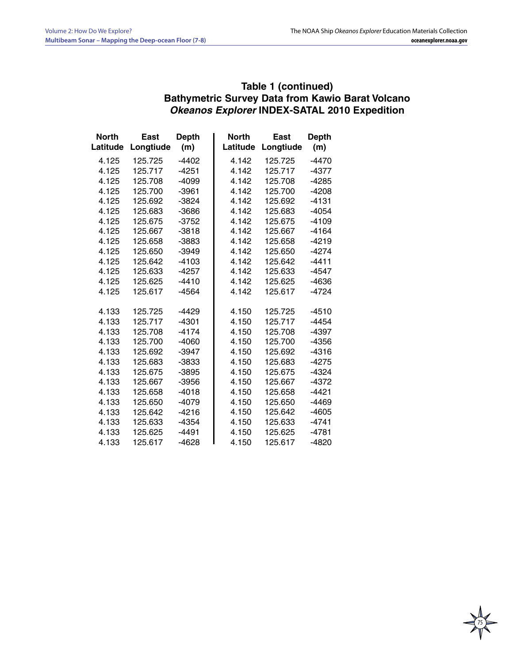## **Table 1 (continued) Bathymetric Survey Data from Kawio Barat Volcano** *Okeanos Explorer* **INDEX-SATAL 2010 Expedition**

| <b>North</b><br>Latitude | East<br>Longtiude | <b>Depth</b><br>(m) | <b>North</b><br>Latitude | East<br>Longtiude | <b>Depth</b><br>(m) |
|--------------------------|-------------------|---------------------|--------------------------|-------------------|---------------------|
| 4.125                    | 125.725           | $-4402$             | 4.142                    | 125.725           | $-4470$             |
| 4.125                    | 125.717           | $-4251$             | 4.142                    | 125.717           | $-4377$             |
| 4.125                    | 125.708           | -4099               | 4.142                    | 125.708           | $-4285$             |
| 4.125                    | 125.700           | $-3961$             | 4.142                    | 125.700           | -4208               |
| 4.125                    | 125.692           | $-3824$             | 4.142                    | 125.692           | $-4131$             |
| 4.125                    | 125.683           | $-3686$             | 4.142                    | 125.683           | $-4054$             |
| 4.125                    | 125.675           | $-3752$             | 4.142                    | 125.675           | $-4109$             |
| 4.125                    | 125.667           | $-3818$             | 4.142                    | 125.667           | $-4164$             |
| 4.125                    | 125.658           | -3883               | 4.142                    | 125.658           | -4219               |
| 4.125                    | 125.650           | $-3949$             | 4.142                    | 125.650           | -4274               |
| 4.125                    | 125.642           | $-4103$             | 4.142                    | 125.642           | $-4411$             |
| 4.125                    | 125.633           | $-4257$             | 4.142                    | 125.633           | $-4547$             |
| 4.125                    | 125.625           | $-4410$             | 4.142                    | 125.625           | -4636               |
| 4.125                    | 125.617           | -4564               | 4.142                    | 125.617           | $-4724$             |
|                          |                   |                     |                          |                   |                     |
| 4.133                    | 125.725           | $-4429$             | 4.150                    | 125.725           | $-4510$             |
| 4.133                    | 125.717           | $-4301$             | 4.150                    | 125.717           | $-4454$             |
| 4.133                    | 125.708           | $-4174$             | 4.150                    | 125.708           | $-4397$             |
| 4.133                    | 125.700           | $-4060$             | 4.150                    | 125.700           | -4356               |
| 4.133                    | 125.692           | $-3947$             | 4.150                    | 125.692           | $-4316$             |
| 4.133                    | 125.683           | -3833               | 4.150                    | 125.683           | -4275               |
| 4.133                    | 125.675           | $-3895$             | 4.150                    | 125.675           | -4324               |
| 4.133                    | 125.667           | $-3956$             | 4.150                    | 125.667           | $-4372$             |
| 4.133                    | 125.658           | $-4018$             | 4.150                    | 125.658           | $-4421$             |
| 4.133                    | 125.650           | $-4079$             | 4.150                    | 125.650           | $-4469$             |
| 4.133                    | 125.642           | $-4216$             | 4.150                    | 125.642           | $-4605$             |
| 4.133                    | 125.633           | $-4354$             | 4.150                    | 125.633           | $-4741$             |
| 4.133                    | 125.625           | $-4491$             | 4.150                    | 125.625           | $-4781$             |
| 4.133                    | 125.617           | $-4628$             | 4.150                    | 125.617           | $-4820$             |